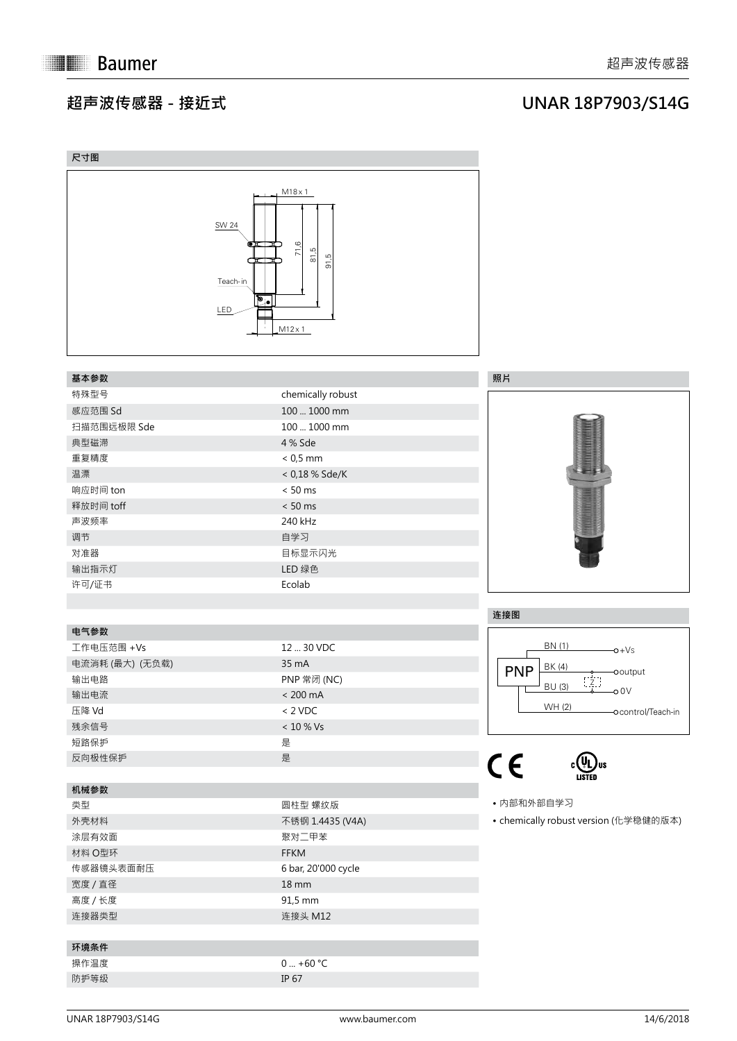#### **超声波传感器 - 接近式**

### **UNAR 18P7903/S14G**